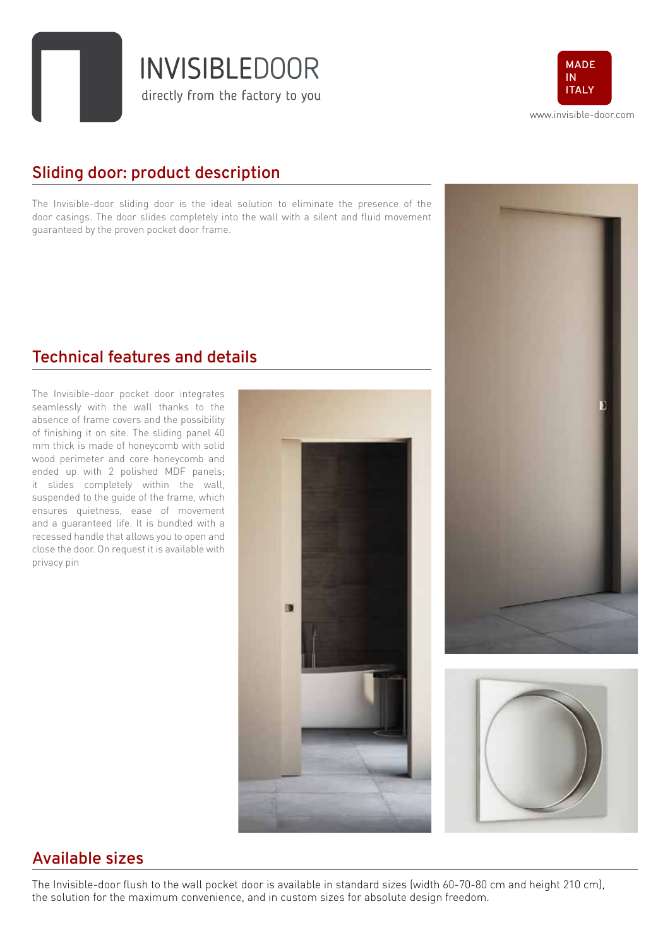**INVISIBLEDOOR** directly from the factory to you



## **Sliding door: product description**

The Invisible-door sliding door is the ideal solution to eliminate the presence of the door casings. The door slides completely into the wall with a silent and fluid movement guaranteed by the proven pocket door frame.

### **Technical features and details**

The Invisible-door pocket door integrates seamlessly with the wall thanks to the absence of frame covers and the possibility of finishing it on site. The sliding panel 40 mm thick is made of honeycomb with solid wood perimeter and core honeycomb and ended up with 2 polished MDF panels; it slides completely within the wall, suspended to the guide of the frame, which ensures quietness, ease of movement and a guaranteed life. It is bundled with a recessed handle that allows you to open and close the door. On request it is available with privacy pin







#### **Available sizes**

The Invisible-door flush to the wall pocket door is available in standard sizes (width 60-70-80 cm and height 210 cm), the solution for the maximum convenience, and in custom sizes for absolute design freedom.